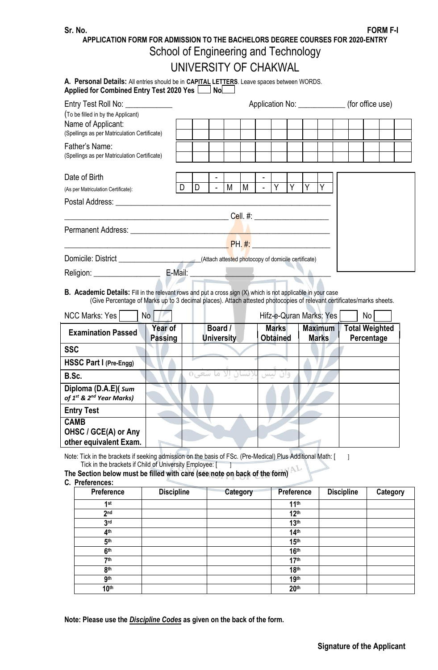**APPLICATION FORM FOR ADMISSION TO THE BACHELORS DEGREE COURSES FOR 2020-ENTRY**

# School of Engineering and Technology UNIVERSITY OF CHAKWAL

| A. Personal Details: All entries should be in CAPITAL LETTERS. Leave spaces between WORDS. |  |
|--------------------------------------------------------------------------------------------|--|
| Applied for Combined Entry Test 2020 Yes $\Box$ No $\Box$                                  |  |

| Entry Test Roll No: _____________                                                                        |                   | Application No: _________________ (for office use) |                |   |                                                     |  |     |    |   |          |  |  |  |  |
|----------------------------------------------------------------------------------------------------------|-------------------|----------------------------------------------------|----------------|---|-----------------------------------------------------|--|-----|----|---|----------|--|--|--|--|
| (To be filled in by the Applicant)<br>Name of Applicant:<br>(Spellings as per Matriculation Certificate) |                   |                                                    |                |   |                                                     |  |     |    |   |          |  |  |  |  |
| Father's Name:<br>(Spellings as per Matriculation Certificate)                                           |                   |                                                    |                |   |                                                     |  |     |    |   |          |  |  |  |  |
| Date of Birth<br>(As per Matriculation Certificate):                                                     |                   | D                                                  | $\blacksquare$ | M | M                                                   |  | IY. | Y. | Y | <b>Y</b> |  |  |  |  |
|                                                                                                          |                   |                                                    |                |   | Cell. #: _____________________                      |  |     |    |   |          |  |  |  |  |
|                                                                                                          |                   |                                                    |                |   |                                                     |  |     |    |   |          |  |  |  |  |
|                                                                                                          |                   |                                                    |                |   | <b>PH. #: ________________________</b>              |  |     |    |   |          |  |  |  |  |
|                                                                                                          |                   |                                                    |                |   | (Attach attested photocopy of domicile certificate) |  |     |    |   |          |  |  |  |  |
| Religion: ____________________                                                                           | E-Mail: _________ |                                                    |                |   |                                                     |  |     |    |   |          |  |  |  |  |

#### **B. Academic Details:** Fill in the relevant rows and put a cross sign (X) which is not applicable in your case (Give Percentage of Marks up to 3 decimal places). Attach attested photocopies of relevant certificates/marks sheets.

| <b>NCC Marks: Yes</b>                                                    | No                        |                              |                                 | Hifz-e-Quran Marks: Yes        | No                                  |
|--------------------------------------------------------------------------|---------------------------|------------------------------|---------------------------------|--------------------------------|-------------------------------------|
| <b>Examination Passed</b>                                                | Year of<br><b>Passing</b> | Board /<br><b>University</b> | <b>Marks</b><br><b>Obtained</b> | <b>Maximum</b><br><b>Marks</b> | <b>Total Weighted</b><br>Percentage |
| <b>SSC</b>                                                               |                           |                              |                                 |                                |                                     |
| HSSC Part I (Pre-Engg)                                                   |                           |                              |                                 |                                |                                     |
| B.Sc.                                                                    |                           | 0 <sub>L</sub>               |                                 |                                |                                     |
| Diploma (D.A.E)( sum<br>of 1 <sup>st</sup> & 2 <sup>nd</sup> Year Marks) |                           |                              |                                 |                                |                                     |
| <b>Entry Test</b>                                                        |                           |                              |                                 |                                |                                     |
| <b>CAMB</b><br>OHSC / GCE(A) or Any<br>other equivalent Exam.            |                           |                              |                                 |                                |                                     |

Note: Tick in the brackets if seeking admission on the basis of FSc. (Pre-Medical) Plus Additional Math: [ ] Tick in the brackets if Child of University Employee: [ ]

**The Section below must be filled with care (see note on back of the form)**

#### **C. Preferences:**

| .                |                   |          |                   |                   |          |
|------------------|-------------------|----------|-------------------|-------------------|----------|
| Preference       | <b>Discipline</b> | Category | <b>Preference</b> | <b>Discipline</b> | Category |
| 1 <sup>st</sup>  |                   |          | 11 <sup>th</sup>  |                   |          |
| 2 <sub>nd</sub>  |                   |          | 12 <sup>th</sup>  |                   |          |
| 3 <sup>rd</sup>  |                   |          | 13 <sup>th</sup>  |                   |          |
| 4 <sup>th</sup>  |                   |          | 14 <sup>th</sup>  |                   |          |
| 5 <sup>th</sup>  |                   |          | 15 <sup>th</sup>  |                   |          |
| 6 <sup>th</sup>  |                   |          | 16 <sup>th</sup>  |                   |          |
| 7 <sup>th</sup>  |                   |          | 17 <sup>th</sup>  |                   |          |
| 8 <sup>th</sup>  |                   |          | 18 <sup>th</sup>  |                   |          |
| <b>9th</b>       |                   |          | 19th              |                   |          |
| 10 <sup>th</sup> |                   |          | 20 <sup>th</sup>  |                   |          |

**Note: Please use the** *Discipline Codes* **as given on the back of the form.**